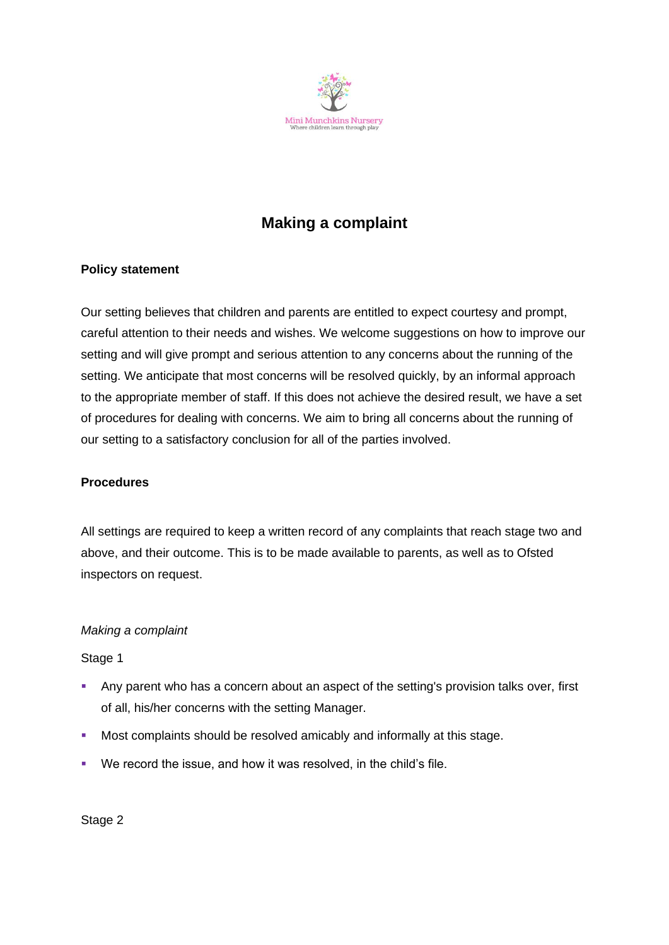

# **Making a complaint**

# **Policy statement**

Our setting believes that children and parents are entitled to expect courtesy and prompt, careful attention to their needs and wishes. We welcome suggestions on how to improve our setting and will give prompt and serious attention to any concerns about the running of the setting. We anticipate that most concerns will be resolved quickly, by an informal approach to the appropriate member of staff. If this does not achieve the desired result, we have a set of procedures for dealing with concerns. We aim to bring all concerns about the running of our setting to a satisfactory conclusion for all of the parties involved.

#### **Procedures**

All settings are required to keep a written record of any complaints that reach stage two and above, and their outcome. This is to be made available to parents, as well as to Ofsted inspectors on request.

#### *Making a complaint*

#### Stage 1

- **EXECT** Any parent who has a concern about an aspect of the setting's provision talks over, first of all, his/her concerns with the setting Manager.
- Most complaints should be resolved amicably and informally at this stage.
- We record the issue, and how it was resolved, in the child's file.

Stage 2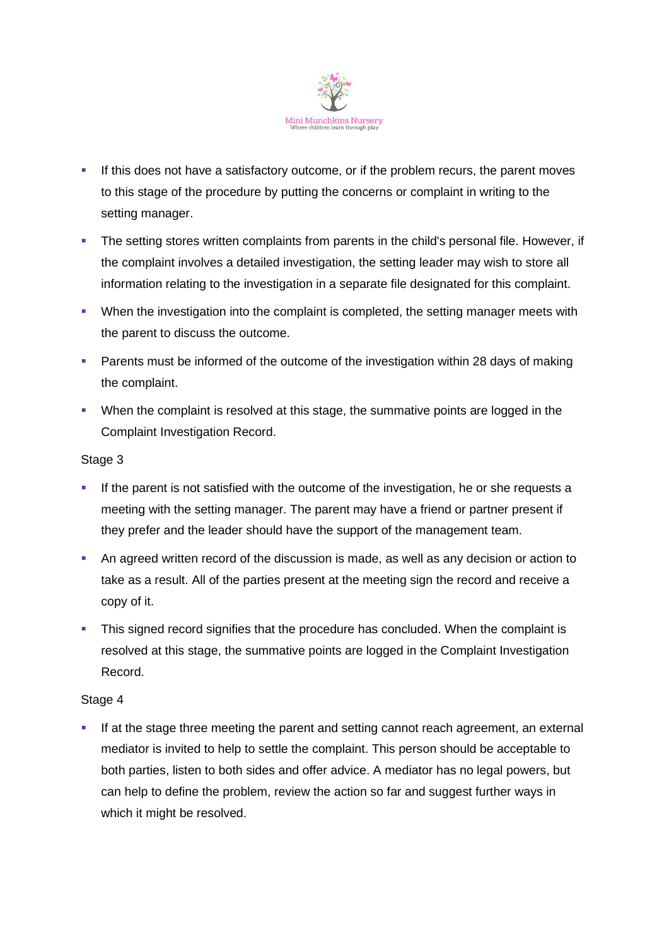

- **.** If this does not have a satisfactory outcome, or if the problem recurs, the parent moves to this stage of the procedure by putting the concerns or complaint in writing to the setting manager.
- **•** The setting stores written complaints from parents in the child's personal file. However, if the complaint involves a detailed investigation, the setting leader may wish to store all information relating to the investigation in a separate file designated for this complaint.
- **•** When the investigation into the complaint is completed, the setting manager meets with the parent to discuss the outcome.
- Parents must be informed of the outcome of the investigation within 28 days of making the complaint.
- When the complaint is resolved at this stage, the summative points are logged in the Complaint Investigation Record.

## Stage 3

- **.** If the parent is not satisfied with the outcome of the investigation, he or she requests a meeting with the setting manager. The parent may have a friend or partner present if they prefer and the leader should have the support of the management team.
- An agreed written record of the discussion is made, as well as any decision or action to take as a result. All of the parties present at the meeting sign the record and receive a copy of it.
- **•** This signed record signifies that the procedure has concluded. When the complaint is resolved at this stage, the summative points are logged in the Complaint Investigation Record.

#### Stage 4

If at the stage three meeting the parent and setting cannot reach agreement, an external mediator is invited to help to settle the complaint. This person should be acceptable to both parties, listen to both sides and offer advice. A mediator has no legal powers, but can help to define the problem, review the action so far and suggest further ways in which it might be resolved.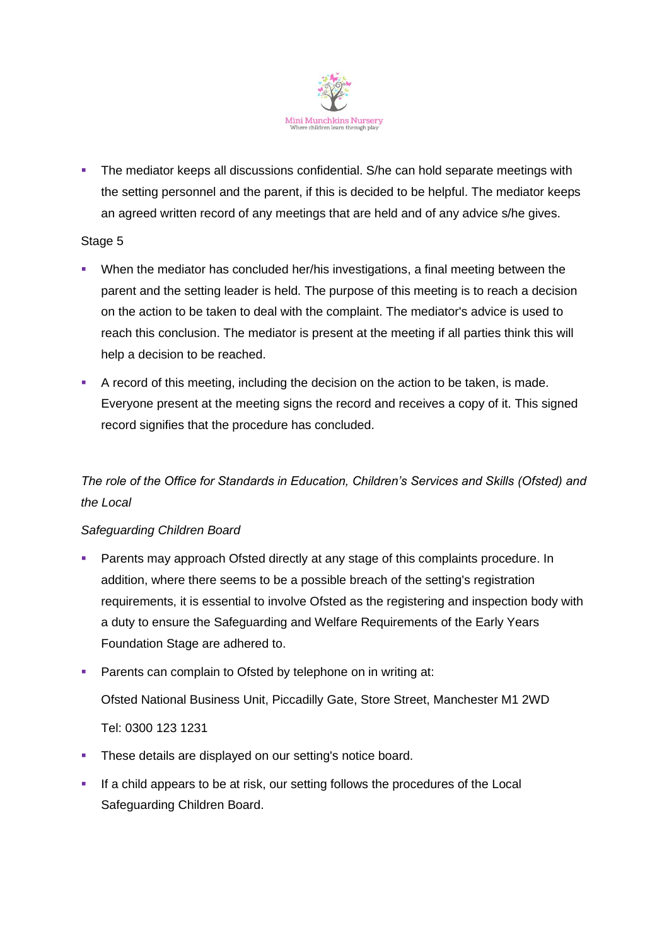

**•** The mediator keeps all discussions confidential. S/he can hold separate meetings with the setting personnel and the parent, if this is decided to be helpful. The mediator keeps an agreed written record of any meetings that are held and of any advice s/he gives.

## Stage 5

- When the mediator has concluded her/his investigations, a final meeting between the parent and the setting leader is held. The purpose of this meeting is to reach a decision on the action to be taken to deal with the complaint. The mediator's advice is used to reach this conclusion. The mediator is present at the meeting if all parties think this will help a decision to be reached.
- A record of this meeting, including the decision on the action to be taken, is made. Everyone present at the meeting signs the record and receives a copy of it. This signed record signifies that the procedure has concluded.

# *The role of the Office for Standards in Education, Children's Services and Skills (Ofsted) and the Local*

# *Safeguarding Children Board*

- **Parents may approach Ofsted directly at any stage of this complaints procedure. In** addition, where there seems to be a possible breach of the setting's registration requirements, it is essential to involve Ofsted as the registering and inspection body with a duty to ensure the Safeguarding and Welfare Requirements of the Early Years Foundation Stage are adhered to.
- **Parents can complain to Ofsted by telephone on in writing at:** Ofsted National Business Unit, Piccadilly Gate, Store Street, Manchester M1 2WD Tel: 0300 123 1231
- **EXECT** These details are displayed on our setting's notice board.
- **.** If a child appears to be at risk, our setting follows the procedures of the Local Safeguarding Children Board.